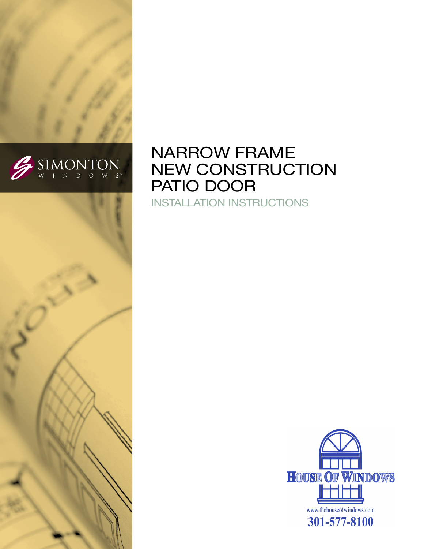

# narrow frame NEW CONSTRUCTION PATIO DOOR

Installation Instructions

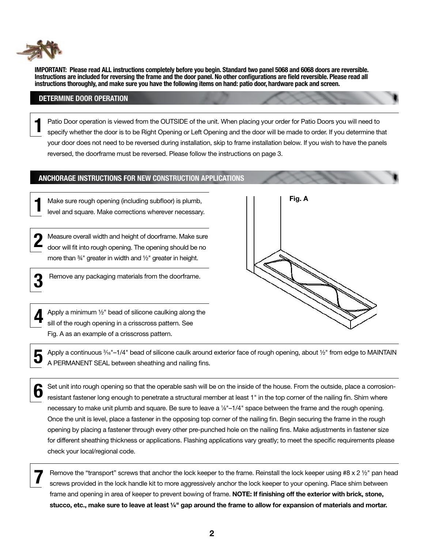

**IMPORTANT: Please read ALL instructions completely before you begin. Standard two panel 5068 and 6068 doors are reversible. Instructions are included for reversing the frame and the door panel. No other configurations are field reversible. Please read all instructions thoroughly, and make sure you have the following items on hand: patio door, hardware pack and screen.**

### **DETERMINE DOOR OPERATION**

Patio Door operation is viewed from the OUTSIDE of the unit. When placing your order for Patio Doors you will need to specify whether the door is to be Right Opening or Left Opening and the door will be made to order. If you determine that your door does not need to be reversed during installation, skip to frame installation below. If you wish to have the panels reversed, the doorframe must be reversed. Please follow the instructions on page 3. **1**

#### **ANCHORAGE INSTRUCTIONS FOR new construction APPLICATIONS**

Make sure rough opening (including subfloor) is plumb, level and square. Make corrections wherever necessary.

Measure overall width and height of doorframe. Make sure door will fit into rough opening. The opening should be no more than ¾" greater in width and ½" greater in height. **2**

**3**

**1**

Remove any packaging materials from the doorframe.



Apply a minimum ½" bead of silicone caulking along the sill of the rough opening in a crisscross pattern. See Fig. A as an example of a crisscross pattern.



**5** Apply a continuous <sup>3</sup>/<sub>6</sub>"–1/4" bead of silicone caulk around exterior face of rough opening, about ½" from edge to MAINTAIN<br>
■ A PERMANENT SEAL between sheathing and nailing fins.

Set unit into rough opening so that the operable sash will be on the inside of the house. From the outside, place a corrosionresistant fastener long enough to penetrate a structural member at least 1" in the top corner of the nailing fin. Shim where necessary to make unit plumb and square. Be sure to leave a 1/8"-1/4" space between the frame and the rough opening. Once the unit is level, place a fastener in the opposing top corner of the nailing fin. Begin securing the frame in the rough opening by placing a fastener through every other pre-punched hole on the nailing fins. Make adjustments in fastener size for different sheathing thickness or applications. Flashing applications vary greatly; to meet the specific requirements please check your local/regional code. **6**

Remove the "transport" screws that anchor the lock keeper to the frame. Reinstall the lock keeper using #8 x 2 1/2" pan head screws provided in the lock handle kit to more aggressively anchor the lock keeper to your opening. Place shim between frame and opening in area of keeper to prevent bowing of frame. **NOTE: If finishing off the exterior with brick, stone, stucco, etc., make sure to leave at least ¼" gap around the frame to allow for expansion of materials and mortar.**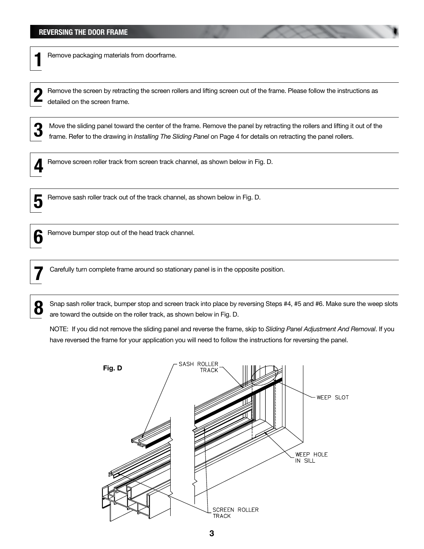Remove packaging materials from doorframe. **1**

Remove the screen by retracting the screen rollers and lifting screen out of the frame. Please follow the instructions as detailed on the screen frame.

**3** Move the sliding panel toward the center of the frame. Remove the panel by retracting the rollers and lifting it out of the frame. Refer to the drawing in *Installing The Sliding Panel* on Page 4 for details on retracting the panel rollers.



Remove screen roller track from screen track channel, as shown below in Fig. D.



Remove sash roller track out of the track channel, as shown below in Fig. D. **5**



**Remove bumper stop out of the head track channel.** 

**7** Carefully turn complete frame around so stationary panel is in the opposite position.

**8** Snap sash roller track, bumper stop and screen track into place by reversing Steps #4, #5 and #6. Make sure the weep slots are toward the outside on the roller track, as shown below in Fig. D.

NOTE: If you did not remove the sliding panel and reverse the frame, skip to *Sliding Panel Adjustment And Removal*. If you have reversed the frame for your application you will need to follow the instructions for reversing the panel.

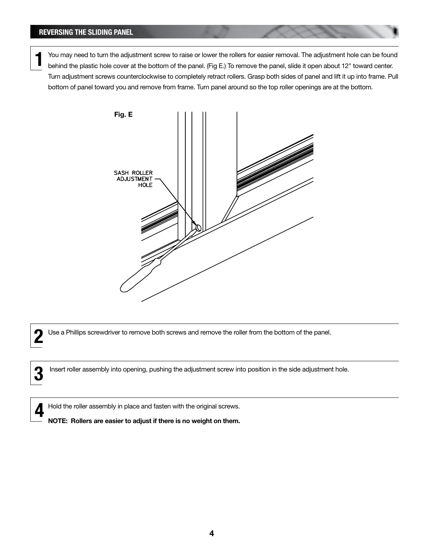You may need to turn the adjustment screw to raise or lower the rollers for easier removal. The adjustment hole can be found behind the plastic hole cover at the bottom of the panel. (Fig E.) To remove the panel, slide it open about 12" toward center. Turn adjustment screws counterclockwise to completely retract rollers. Grasp both sides of panel and lift it up into frame. Pull bottom of panel toward you and remove from frame. Turn panel around so the top roller openings are at the bottom. **1**



Use a Phillips screwdriver to remove both screws and remove the roller from the bottom of the panel. **2**

**3** Insert roller assembly into opening, pushing the adjustment screw into position in the side adjustment hole.

Hold the roller assembly in place and fasten with the original screws.

**4**

**NOTE: Rollers are easier to adjust if there is no weight on them.**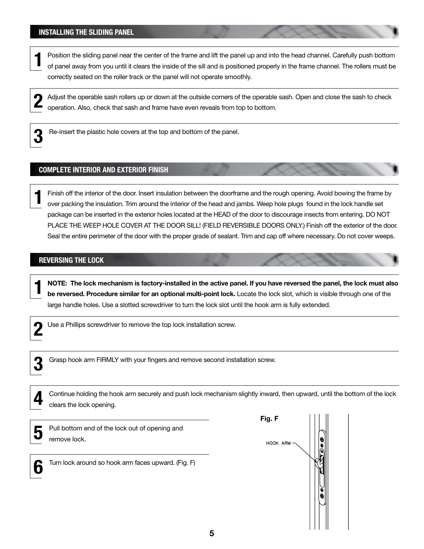# **INSTALLING THE SLIDING PANEL**

Position the sliding panel near the center of the frame and lift the panel up and into the head channel. Carefully push bottom of panel away from you until it clears the inside of the sill and is positioned properly in the frame channel. The rollers must be correctly seated on the roller track or the panel will not operate smoothly. **1**

Adjust the operable sash rollers up or down at the outside corners of the operable sash. Open and close the sash to check operation. Also, check that sash and frame have even reveals from top to bottom. **2**



Re-insert the plastic hole covers at the top and bottom of the panel.

# **COMPLETE INTERIOR and EXTERIOR FINISH**

Finish off the interior of the door. Insert insulation between the doorframe and the rough opening. Avoid bowing the frame by over packing the insulation. Trim around the interior of the head and jambs. Weep hole plugs found in the lock handle set package can be inserted in the exterior holes located at the HEAD of the door to discourage insects from entering. DO NOT PLACE THE WEEP HOLE COVER AT THE DOOR SILL! (FIELD REVERSIBLE DOORS ONLY.) Finish off the exterior of the door. Seal the entire perimeter of the door with the proper grade of sealant. Trim and cap off where necessary. Do not cover weeps. **1**

## **REVERSING THE LOCK**

**NOTE: The lock mechanism is factory-installed in the active panel. If you have reversed the panel, the lock must also be reversed. Procedure similar for an optional multi-point lock.** Locate the lock slot, which is visible through one of the large handle holes. Use a slotted screwdriver to turn the lock slot until the hook arm is fully extended.



**1**

Use a Phillips screwdriver to remove the top lock installation screw.



Grasp hook arm FIRMLY with your fingers and remove second installation screw.

| Continue holding the hook arm securely and push lock mechanism slightly inward, then upward, until the bottom of the lock |        |  |
|---------------------------------------------------------------------------------------------------------------------------|--------|--|
| clears the lock opening.                                                                                                  |        |  |
|                                                                                                                           | Fig. F |  |

|--|

Pull bottom end of the lock out of opening and remove lock.



Turn lock around so hook arm faces upward. (Fig. F)

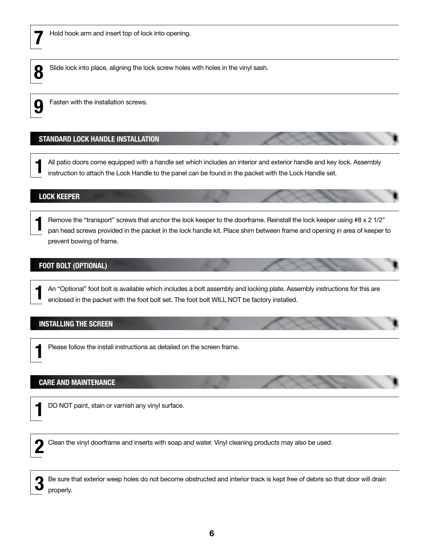



Slide lock into place, aligning the lock screw holes with holes in the vinyl sash.



Fasten with the installation screws.

# **STANDARD LOCK HANDLE INSTALLATION**

All patio doors come equipped with a handle set which includes an interior and exterior handle and key lock. Assembly instruction to attach the Lock Handle to the panel can be found in the packet with the Lock Handle set. **1**

# **LOCK KEEPER**

Remove the "transport" screws that anchor the lock keeper to the doorframe. Reinstall the lock keeper using  $#8 \times 2 \frac{1}{2}$ " pan head screws provided in the packet in the lock handle kit. Place shim between frame and opening in area of keeper to prevent bowing of frame. **1**

# **FOOT BOLT (Optional)**

An "Optional" foot bolt is available which includes a bolt assembly and locking plate. Assembly instructions for this are enclosed in the packet with the foot bolt set. The foot bolt WILL NOT be factory installed. **1**

## **INSTALLING THE SCREEN**

Please follow the install instructions as detailed on the screen frame.

## **CARE AND MAINTENANCE**

**1**

DO NOT paint, stain or varnish any vinyl surface.



Clean the vinyl doorframe and inserts with soap and water. Vinyl cleaning products may also be used.



Be sure that exterior weep holes do not become obstructed and interior track is kept free of debris so that door will drain properly.